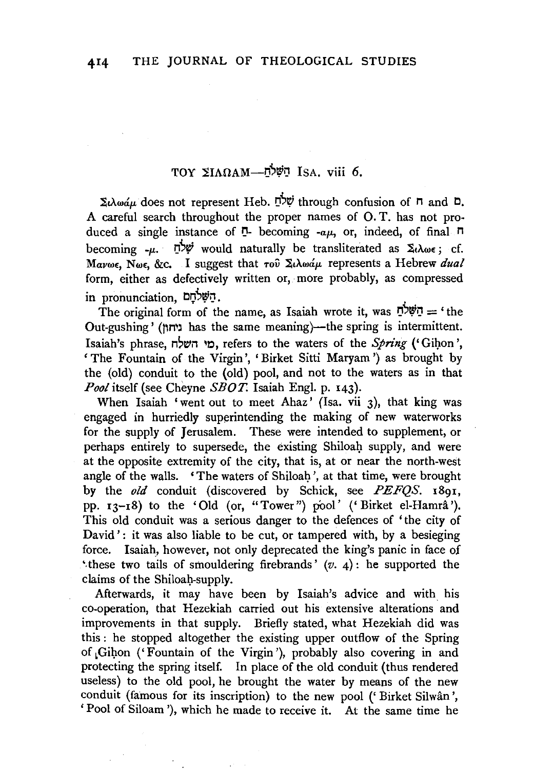## TOY  $\Sigma I\Lambda\Omega AM-\vec{D}$ יַמּלָה Isa. viii 6.

 $\Sigma \lambda \omega \omega \omega$ . does not represent Heb.  $\vec{D}$ <sup>*v*</sup> through confusion of **n** and **D**. A careful search throughout the proper names of 0. T. has not produced a single instance of  $\overline{P}$ - becoming  $-a\mu$ , or, indeed, of final  $\overline{P}$ becoming  $-\mu$ . In would naturally be transliterated as  $\Sigma_t \lambda_{\omega \epsilon}$ ; cf. *Mavwε, Nwε, &c.* I suggest that του Σιλωάμ represents a Hebrew *dual* form, either as defectively written or, more probably, as compressed in pronunciation, השלחם.

The original form of the name, as Isaiah wrote it, was  $\vec{D}$ ישלם = 'the Out-gushing' (I'M'l has the same meaning)-the spring is intermittent. Isaiah's phrase, "'~i1 ~t.:l, refers to the waters of the *Spring('* Gil].on ', 'The Fountain of the Virgin', 'Birket Sitti Maryam ') as brought by the (old) conduit to the (old) pool, and not to the waters as in that *Pool* itself (see Cheyne *SBO T.* Isaiah Engl. p. 143).

When Isaiah 'went out to meet Ahaz' (Isa. vii 3), that king was engaged in hurriedly superintending the making of new waterworks for the supply of Jerusalem. These were intended to supplement, or perhaps entirely to supersede, the existing Shiloah supply, and were at the opposite extremity of the city, that is, at or near the north-west angle of the walls. 'The waters of Shiloah', at that time, were brought by the *old* conduit (discovered by Schick, see *PEFQS.* x8g1, pp. 13-18) to the 'Old (or, "Tower") pool' ('Birket el-Hamrâ'). This old conduit was a serious danger to the defences of 'the city of David': it was also liable to be cut, or tampered with, by a besieging force. Isaiah, however, not only deprecated the king's panic in face of 'these two tails of smouldering firebrands'  $(v, 4)$ : he supported the claims of the Shiloah-supply.

Afterwards, it may have been by Isaiah's advice and with his co-operation, that Hezekiah carried out his extensive alterations and improvements in that supply. Briefly stated, what Hezekiah did was this: he stopped altogether the existing upper outflow of the Spring of Gihon ('Fountain of the Virgin'), probably also covering in and protecting the spring itself. In place of the old conduit (thus rendered useless) to the old pool, he brought the water by means of the new conduit (famous for its inscription) to the new pool ('Birket Silwân', 'Pool of Siloam '), which he made to receive it. At the same time he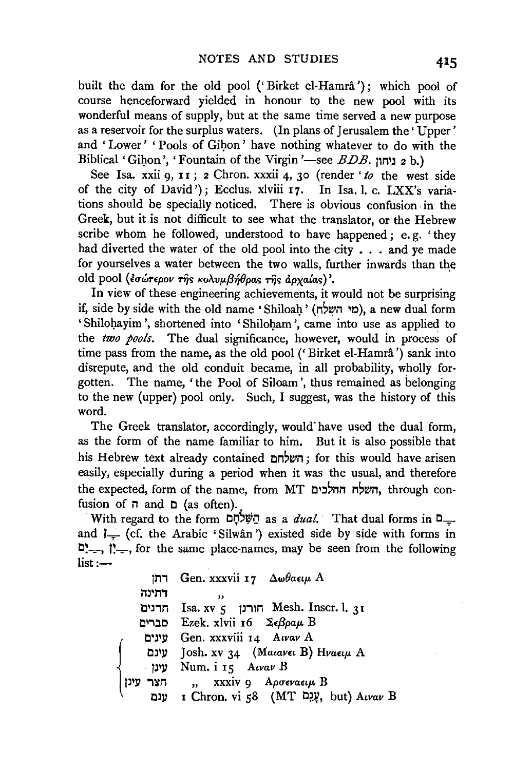built the dam for the old pool ('Birket el-Hamrâ'); which pool of course henceforward yielded in honour to the new pool with its wonderful means of supply, but at the same time served a new purpose as a reservoir for the surplus waters. (In plans of Jerusalem the 'Upper' and 'Lower' 'Pools of Gihon' have nothing whatever to do with the Biblical 'Gihon', 'Fountain of the Virgin '-see *BDB*. ניחון 2 b.)

See Isa. xxii o. 11; 2 Chron. xxxii 4, 30 (render 'to the west side of the city of David'); Ecclus. xlviii 17. In Isa. l. c. LXX's variations should be specially noticed. There is obvious confusion. in the Greek, but it is not difficult to see what the translator, or the Hebrew scribe whom he followed, understood to have happened ; e. g. 'they had diverted the water of the old pool into the city  $\ldots$  and ye made for yourselves a water between the two walls, further inwards than the old pool (*εσώτερον της κολυμβήθρας της άργαίας*)'.

In view of these engineering achievements, it would not be surprising if, side by side with the old name 'Shiloah' (מי השלח), a new dual form 'Shilohayim', shortened into 'Shiloham', came into use as applied to the *two pools.* The dual significance, however, would in process of time pass from the name, as the old pool (' Birket el-Hamra ') sank into disrepute, and the old conduit became, in all probability, wholly forgotten. The name, 'the Pool of Siloam ', thus remained as belonging to the new (upper) pool only. Such, I suggest, was the history of this word.

The Greek translator, accordingly, would"have used the dual form, as the form of the name familiar to him. But it is also possible that his Hebrew text already contained השלחם; for this would have arisen easily, especially during a period when it was the usual, and therefore the expected, form of the name, from MT השלח ההלכים, through confusion of  $\pi$  and  $\pi$  (as often).

With regard to the form  $\mathbb{Q}^{\uparrow}\mathbb{Q}$  as a *dual*. That dual forms in  $\mathbb{Q}_{\uparrow}$ . and  $I_{-}$  (cf. the Arabic 'Silwân') existed side by side with forms in  $\sum_{i=1}$ , i. for the same place-names, may be seen from the following  $list:$ 

|               | רתן Gen. xxxvii ד $\lambda \omega \theta$ a $\epsilon \mu$ A |
|---------------|--------------------------------------------------------------|
| דתינה         | ,,                                                           |
|               | חרנים Isa. אורנן Mesh. Inscr. l. $31$                        |
|               | D Ezek. xlvii 16 Σεβραμ Β                                    |
|               | עינים Gen. xxxviii 14 Awav A                                 |
| טינם          | Josh. xv 34 (Maiavei B) Hvaeiµ A                             |
| עינו          | Num. i 15 Awav B                                             |
| עינן  <br>חצר | ,, xxxiv 9 Αρσεναειμ Β                                       |
|               | ענם I Chron. vi 58 (MT עֲגָם, but) Aivav B                   |